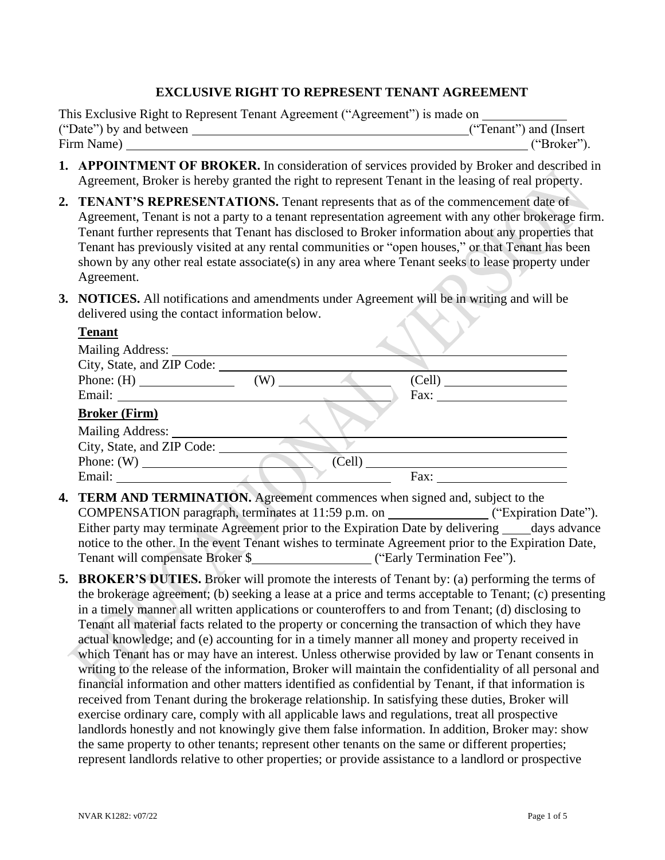### **EXCLUSIVE RIGHT TO REPRESENT TENANT AGREEMENT**

|                         | This Exclusive Right to Represent Tenant Agreement ("Agreement") is made on |                         |
|-------------------------|-----------------------------------------------------------------------------|-------------------------|
| ("Date") by and between |                                                                             | ("Tenant") and (Insert) |
| Firm Name)              |                                                                             | ("Broker").             |

- **1. APPOINTMENT OF BROKER.** In consideration of services provided by Broker and described in Agreement, Broker is hereby granted the right to represent Tenant in the leasing of real property.
- **2. TENANT'S REPRESENTATIONS.** Tenant represents that as of the commencement date of Agreement, Tenant is not a party to a tenant representation agreement with any other brokerage firm. Tenant further represents that Tenant has disclosed to Broker information about any properties that Tenant has previously visited at any rental communities or "open houses," or that Tenant has been shown by any other real estate associate(s) in any area where Tenant seeks to lease property under Agreement.
- **3. NOTICES.** All notifications and amendments under Agreement will be in writing and will be delivered using the contact information below.

| <b>Tenant</b>              |        |                             |
|----------------------------|--------|-----------------------------|
|                            |        |                             |
| City, State, and ZIP Code: |        |                             |
| Phone: $(H)$               | (W)    | (Cell)                      |
|                            |        | Fax: $\qquad \qquad \qquad$ |
| <b>Broker (Firm)</b>       |        |                             |
| <b>Mailing Address:</b>    |        |                             |
| City, State, and ZIP Code: |        |                             |
|                            | (Cell) |                             |
|                            |        | Fax:                        |

- **4. TERM AND TERMINATION.** Agreement commences when signed and, subject to the COMPENSATION paragraph, terminates at 11:59 p.m. on ("Expiration Date"). Either party may terminate Agreement prior to the Expiration Date by delivering days advance notice to the other. In the event Tenant wishes to terminate Agreement prior to the Expiration Date, Tenant will compensate Broker \$ ("Early Termination Fee").
- **5. BROKER'S DUTIES.** Broker will promote the interests of Tenant by: (a) performing the terms of the brokerage agreement; (b) seeking a lease at a price and terms acceptable to Tenant; (c) presenting in a timely manner all written applications or counteroffers to and from Tenant; (d) disclosing to Tenant all material facts related to the property or concerning the transaction of which they have actual knowledge; and (e) accounting for in a timely manner all money and property received in which Tenant has or may have an interest. Unless otherwise provided by law or Tenant consents in writing to the release of the information, Broker will maintain the confidentiality of all personal and financial information and other matters identified as confidential by Tenant, if that information is received from Tenant during the brokerage relationship. In satisfying these duties, Broker will exercise ordinary care, comply with all applicable laws and regulations, treat all prospective landlords honestly and not knowingly give them false information. In addition, Broker may: show the same property to other tenants; represent other tenants on the same or different properties; represent landlords relative to other properties; or provide assistance to a landlord or prospective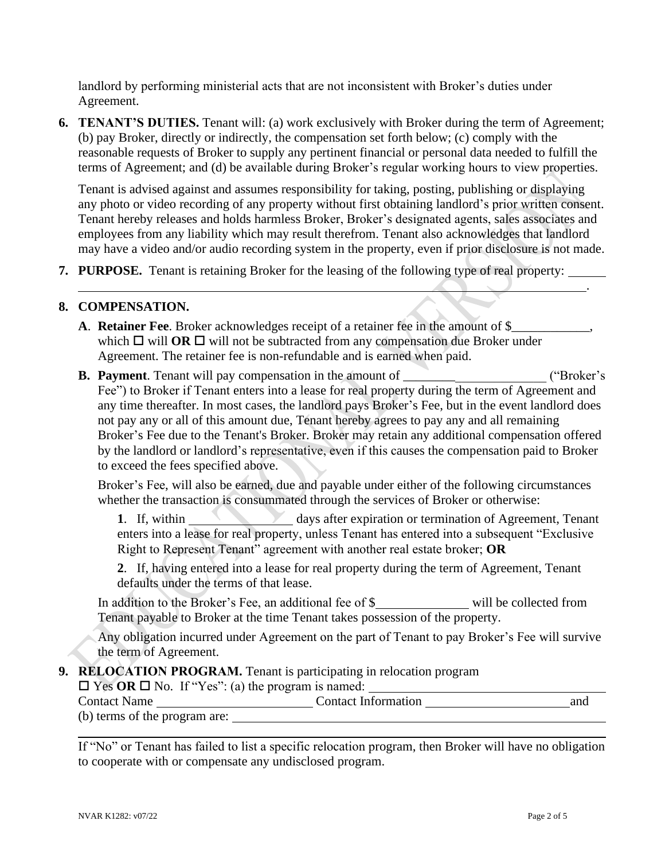landlord by performing ministerial acts that are not inconsistent with Broker's duties under Agreement.

**6. TENANT'S DUTIES.** Tenant will: (a) work exclusively with Broker during the term of Agreement; (b) pay Broker, directly or indirectly, the compensation set forth below; (c) comply with the reasonable requests of Broker to supply any pertinent financial or personal data needed to fulfill the terms of Agreement; and (d) be available during Broker's regular working hours to view properties.

Tenant is advised against and assumes responsibility for taking, posting, publishing or displaying any photo or video recording of any property without first obtaining landlord's prior written consent. Tenant hereby releases and holds harmless Broker, Broker's designated agents, sales associates and employees from any liability which may result therefrom. Tenant also acknowledges that landlord may have a video and/or audio recording system in the property, even if prior disclosure is not made.

**7. PURPOSE.** Tenant is retaining Broker for the leasing of the following type of real property:

#### **8. COMPENSATION.**

- **A**. **Retainer Fee**. Broker acknowledges receipt of a retainer fee in the amount of \$ which  $\Box$  will **OR**  $\Box$  will not be subtracted from any compensation due Broker under Agreement. The retainer fee is non-refundable and is earned when paid.
- **B.** Payment. Tenant will pay compensation in the amount of \_\_\_\_\_\_\_\_\_\_\_\_\_\_\_\_\_\_\_\_\_ ("Broker's Fee") to Broker if Tenant enters into a lease for real property during the term of Agreement and any time thereafter. In most cases, the landlord pays Broker's Fee, but in the event landlord does not pay any or all of this amount due, Tenant hereby agrees to pay any and all remaining Broker's Fee due to the Tenant's Broker. Broker may retain any additional compensation offered by the landlord or landlord's representative, even if this causes the compensation paid to Broker to exceed the fees specified above.

Broker's Fee, will also be earned, due and payable under either of the following circumstances whether the transaction is consummated through the services of Broker or otherwise:

**1.** If, within days after expiration or termination of Agreement, Tenant enters into a lease for real property, unless Tenant has entered into a subsequent "Exclusive Right to Represent Tenant" agreement with another real estate broker; **OR**

**2**. If, having entered into a lease for real property during the term of Agreement, Tenant defaults under the terms of that lease.

In addition to the Broker's Fee, an additional fee of \$ will be collected from Tenant payable to Broker at the time Tenant takes possession of the property.

Any obligation incurred under Agreement on the part of Tenant to pay Broker's Fee will survive the term of Agreement.

#### **9. RELOCATION PROGRAM.** Tenant is participating in relocation program

 $\Box$  Yes OR  $\Box$  No. If "Yes": (a) the program is named:

| <b>Contact Name</b>           | <b>Contact Information</b> | and |
|-------------------------------|----------------------------|-----|
| (b) terms of the program are: |                            |     |

If "No" or Tenant has failed to list a specific relocation program, then Broker will have no obligation to cooperate with or compensate any undisclosed program.

.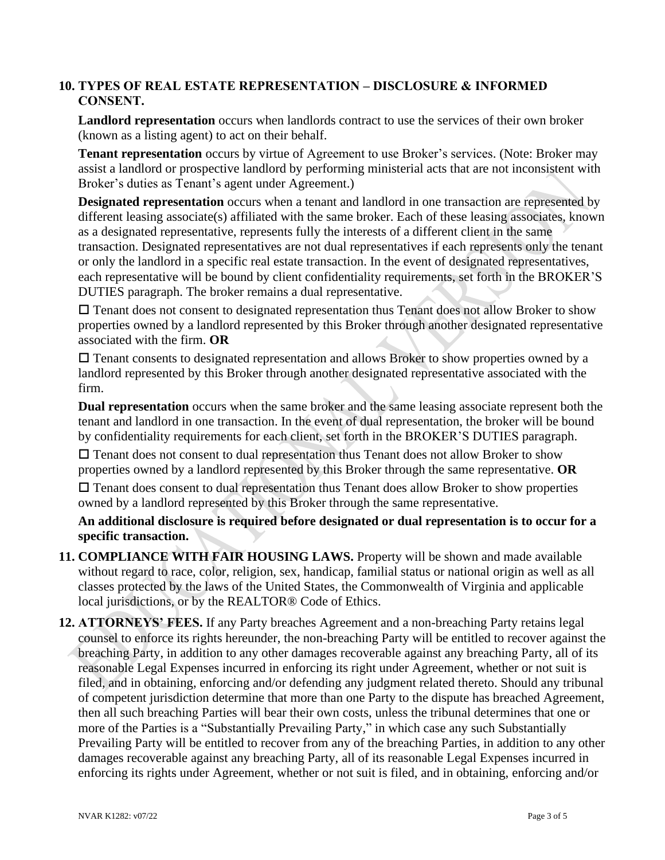## **10. TYPES OF REAL ESTATE REPRESENTATION – DISCLOSURE & INFORMED CONSENT.**

**Landlord representation** occurs when landlords contract to use the services of their own broker (known as a listing agent) to act on their behalf.

**Tenant representation** occurs by virtue of Agreement to use Broker's services. (Note: Broker may assist a landlord or prospective landlord by performing ministerial acts that are not inconsistent with Broker's duties as Tenant's agent under Agreement.)

**Designated representation** occurs when a tenant and landlord in one transaction are represented by different leasing associate(s) affiliated with the same broker. Each of these leasing associates, known as a designated representative, represents fully the interests of a different client in the same transaction. Designated representatives are not dual representatives if each represents only the tenant or only the landlord in a specific real estate transaction. In the event of designated representatives, each representative will be bound by client confidentiality requirements, set forth in the BROKER'S DUTIES paragraph. The broker remains a dual representative.

 $\Box$  Tenant does not consent to designated representation thus Tenant does not allow Broker to show properties owned by a landlord represented by this Broker through another designated representative associated with the firm. **OR**

 $\square$  Tenant consents to designated representation and allows Broker to show properties owned by a landlord represented by this Broker through another designated representative associated with the firm.

**Dual representation** occurs when the same broker and the same leasing associate represent both the tenant and landlord in one transaction. In the event of dual representation, the broker will be bound by confidentiality requirements for each client, set forth in the BROKER'S DUTIES paragraph.

 $\square$  Tenant does not consent to dual representation thus Tenant does not allow Broker to show properties owned by a landlord represented by this Broker through the same representative. **OR**  $\Box$  Tenant does consent to dual representation thus Tenant does allow Broker to show properties owned by a landlord represented by this Broker through the same representative.

**An additional disclosure is required before designated or dual representation is to occur for a specific transaction.**

- **11. COMPLIANCE WITH FAIR HOUSING LAWS.** Property will be shown and made available without regard to race, color, religion, sex, handicap, familial status or national origin as well as all classes protected by the laws of the United States, the Commonwealth of Virginia and applicable local jurisdictions, or by the REALTOR® Code of Ethics.
- **12. ATTORNEYS' FEES.** If any Party breaches Agreement and a non-breaching Party retains legal counsel to enforce its rights hereunder, the non-breaching Party will be entitled to recover against the breaching Party, in addition to any other damages recoverable against any breaching Party, all of its reasonable Legal Expenses incurred in enforcing its right under Agreement, whether or not suit is filed, and in obtaining, enforcing and/or defending any judgment related thereto. Should any tribunal of competent jurisdiction determine that more than one Party to the dispute has breached Agreement, then all such breaching Parties will bear their own costs, unless the tribunal determines that one or more of the Parties is a "Substantially Prevailing Party," in which case any such Substantially Prevailing Party will be entitled to recover from any of the breaching Parties, in addition to any other damages recoverable against any breaching Party, all of its reasonable Legal Expenses incurred in enforcing its rights under Agreement, whether or not suit is filed, and in obtaining, enforcing and/or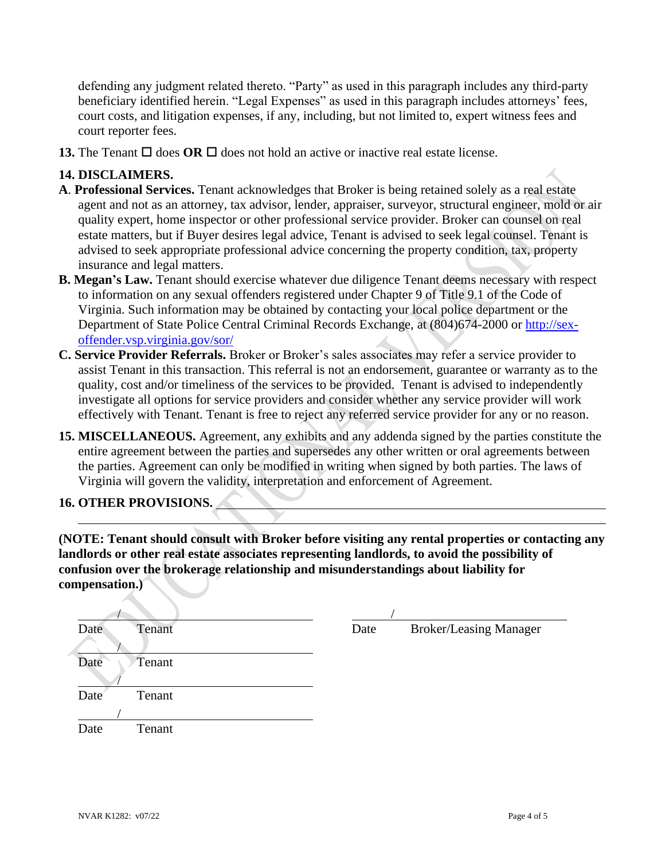defending any judgment related thereto. "Party" as used in this paragraph includes any third-party beneficiary identified herein. "Legal Expenses" as used in this paragraph includes attorneys' fees, court costs, and litigation expenses, if any, including, but not limited to, expert witness fees and court reporter fees.

**13.** The Tenant  $\Box$  does **OR**  $\Box$  does not hold an active or inactive real estate license.

## **14. DISCLAIMERS.**

- **A**. **Professional Services.** Tenant acknowledges that Broker is being retained solely as a real estate agent and not as an attorney, tax advisor, lender, appraiser, surveyor, structural engineer, mold or air quality expert, home inspector or other professional service provider. Broker can counsel on real estate matters, but if Buyer desires legal advice, Tenant is advised to seek legal counsel. Tenant is advised to seek appropriate professional advice concerning the property condition, tax, property insurance and legal matters.
- **B. Megan's Law.** Tenant should exercise whatever due diligence Tenant deems necessary with respect to information on any sexual offenders registered under Chapter 9 of Title 9.1 of the Code of Virginia. Such information may be obtained by contacting your local police department or the Department of State Police Central Criminal Records Exchange, at (804)674-2000 or [http://sex](http://sex-offender.vsp.virginia.gov/sor/)[offender.vsp.virginia.gov/sor/](http://sex-offender.vsp.virginia.gov/sor/)
- **C. Service Provider Referrals.** Broker or Broker's sales associates may refer a service provider to assist Tenant in this transaction. This referral is not an endorsement, guarantee or warranty as to the quality, cost and/or timeliness of the services to be provided. Tenant is advised to independently investigate all options for service providers and consider whether any service provider will work effectively with Tenant. Tenant is free to reject any referred service provider for any or no reason.
- **15. MISCELLANEOUS.** Agreement, any exhibits and any addenda signed by the parties constitute the entire agreement between the parties and supersedes any other written or oral agreements between the parties. Agreement can only be modified in writing when signed by both parties. The laws of Virginia will govern the validity, interpretation and enforcement of Agreement.

# **16. OTHER PROVISIONS.**

**(NOTE: Tenant should consult with Broker before visiting any rental properties or contacting any landlords or other real estate associates representing landlords, to avoid the possibility of confusion over the brokerage relationship and misunderstandings about liability for compensation.)**

| Date | Tenant | Date | <b>Broker/Leasing Manager</b> |
|------|--------|------|-------------------------------|
|      |        |      |                               |
| Date | Tenant |      |                               |
|      |        |      |                               |
| Date | Tenant |      |                               |
|      |        |      |                               |
| Date | Tenant |      |                               |